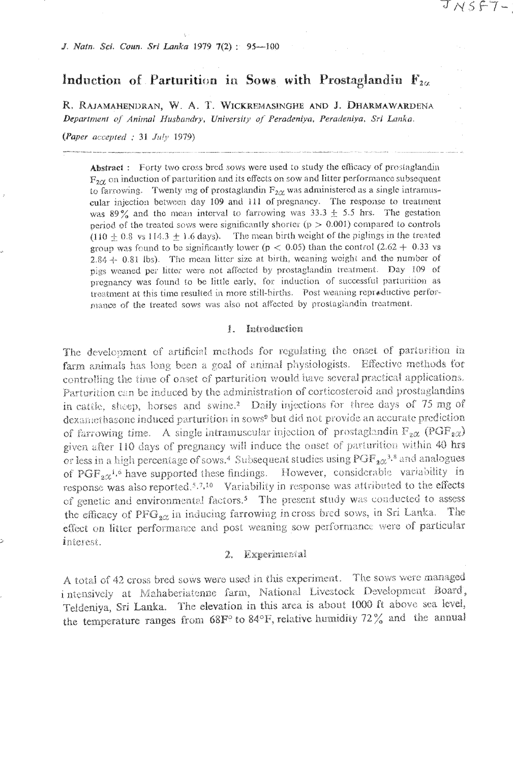# Induction of Parturition in Sows with Prostaglandin F<sub>20</sub>

J N S F 7

R. RAJAMAHENDRAN, W. A. T. WICKREMASINGHE AND J. DHARMAWARDENA Department of Animal Husbandry, University of Peradeniya, Peradeniya, Sri Lanka.

(Paper accepted : 31  $July$  1979)

Abstract: Forty two cross bred sows were used to study the efficacy of prostagland in  $F_{2\alpha}$  on induction of parturition and its effects on sow and litter performance subsequent to farrowing. Twenty mg of prostaglandin  $F_{2\alpha}$  was administered as a single intramuscular injection between day 109 and 111 of pregnancy. The response to treatment was 89% and the mean interval to farrowing was 33.3  $\pm$  5.5 hrs. The gestation period of the treated sows were significantly shorter ( $p > 0.001$ ) compared to controls  $(110 + 0.8 \text{ vs } 114.3 + 1.6 \text{ days})$ . The mean birth weight of the piglings in the treated group was found to be significantly lower ( $p < 0.05$ ) than the control (2.62 + 0.33 vs  $2.84 + 0.81$  lbs). The mean litter size at birth, weaning weight and the number of pigs weaned per litter were not affected by prostaglandin treatment. Day 109 of pregnancy was found to be little early, for induction of successful parturition as treatment at this time resulted in more still-births. Post weaning reproductive performance of the treated sows was also not affected by prostaglandin treatment.

## 1 Introduction

The development of artificial methods for regulating the onset of parturition in farm animals has long been a goal of animal physiologists. Effective methods for controlling the time of onset of parturition would have several practical applications. Parturition can be induced by the administration of corticosteroid and prostaglandins in cattle, sheep, horses and swine.<sup>2</sup> Daily injections for three days of 75 mg of dexamethasone induced parturition in sows<sup>9</sup> but did not provide an accurate prediction of farrowing time. A single intramuscular injection of prostagland in  $F_{2\alpha}$  (PGF<sub>2 $\alpha$ </sub>) given after 110 days of pregnancy will induce the onset of parturition within 40 hrs or less in a high percentage of sows.<sup>4</sup> Subsequent studies using  $\text{PGF}_{a\alpha}^{3,8}$  and analogues of  $PGF_{2}\alpha^{1,6}$  have supported these findings. However, considerable variability in response was also reported.<sup>5,7,10</sup> Variability in response was attributed to the effects of genetic and environmental factors.<sup>5</sup> The present study was conducted to assess the efficacy of  $PFG_{2C}$  in inducing farrowing in cross bred sows, in Sri Lanka. The effect on litter performance and post weaning sow performance were of particular interest.

## Experimental  $2.$

A total of 42 cross bred sows were used in this experiment. The sows were managed intensively at Mahaberiatenne farm, National Livestock Development Board. Teldeniya, Sri Lanka. The elevation in this area is about 1000 ft above sea level, the temperature ranges from 68F° to 84°F, relative humidity 72% and the annual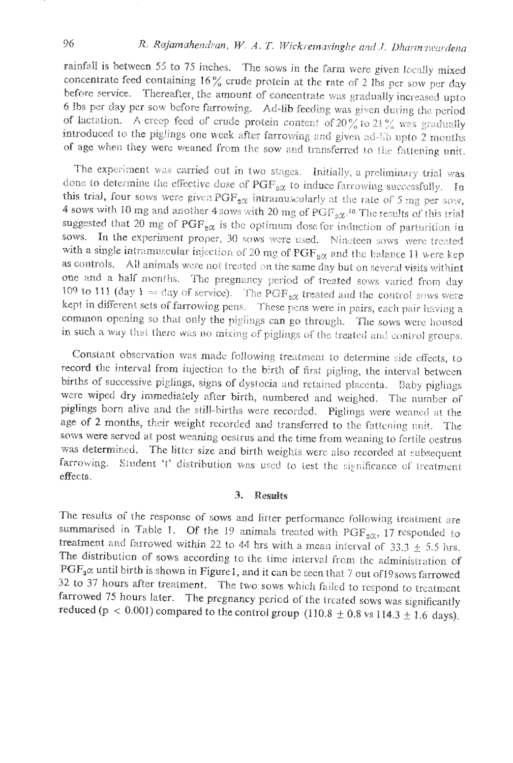rainfall is between 55 to 75 inches. The sows in the farm were given locally mixed concentrate feed containing 16% crude protein at the rate of 2 lbs per sow per day before service. Thereafter, the amount of concentrate was gradually increased upto 6 lbs per day per sow before farrowing. Ad-lib feeding was given during the period of lactation. A creep feed of crude protein content of  $20\%$  to  $21\%$  was gradually introduced to the piglings one week after farrowing and given ad-lib upto 2 months of age when they were weaned from the sow and transferred to the fattening unit.

The experiment was carried out in two stages. Initially, a preliminary trial was done to determine the effective dose of  $PGF_{2\alpha}$  to induce farrowing successfully. In this trial, four sows were given  $\text{PGF}_{2\alpha}$  intramuseularly at the rate of 5 mg per sow, 4 sows with 10 mg and another 4 sows with 20 mg of  $PGF_{2\alpha}$ .<sup>10</sup> The results of this trial suggested that 20 mg of  $\mathrm{PGF}_{2\alpha}$  is the optimum dose for induction of parturition in sows. In the experiment proper, 30 sows were used. Nineteen sows were treated with a single intramuscular injection of 20 mg of  $\mathrm{PGF}_{2\alpha}$  and the balance 11 were kep as controls. All animals were not treated on the same day but on several visits withint one and a half months. The pregnancy period of treated sows varied from day 109 to 111 (day 1 = day of service). The PGF<sub>2 $\alpha$ </sub> treated and the control sows were kept in different sets of farrowing pens. These pens were in pairs, each pair having a common opening so that only the piglings can go through. The sows were housed in such a way that there was no mixing of piglings of the treated and control groups.

Constant observation was made following treatment to determine side effects, to record the interval from injection to the birth of first pigling, the interval between births of successive piglings, signs of dystocia and retained placenta. Baby piglings were wiped dry immediately after birth, numbered and weighed. The number of piglings born alive and the still-births were recorded. Piglings were weaned at the age of 2 months, their weight recorded and transferred to the fattening unit. The sows were served at post weaning oestrus and the time from weaning to fertile oestrus was determined. The litter size and birth weights were also recorded at subsequent farrowing. Student 't' distribution was used to test the significance of treatment effects.

# 3. Results

The results of the response of sows and litter performance following treatment are summarised in Table 1. Of the 19 animals treated with  $PGF_{2\alpha}$ , 17 responded to treatment and farrowed within 22 to 44 hrs with a mean interval of 33.3  $\pm$  5.5 hrs. The distribution of sows according to the time interval from the administration of  $PGF_2\alpha$  until birth is shown in Figure 1, and it can be seen that 7 out of 19 sows farrowed 32 to 37 hours after treatment. The two sows which failed to respond to treatment farrowed 75 hours later. The pregnancy period of the treated sows was significantly reduced (p < 0.001) compared to the control group (110.8  $\pm$  0.8 vs 114.3  $\pm$  1.6 days).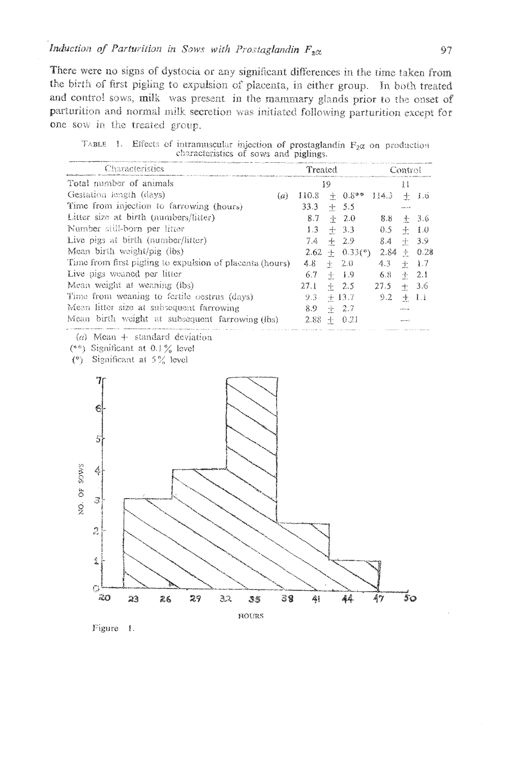There were no signs of dystocia or any significant differences in the time taken from the birth of first pigling to expulsion of placenta, in either group. In both treated and control sows, milk was present in the mammary glands prior to the onset of parturition and normal milk secretion was initiated following parturition except for one sow in the treated group.

TABLE 1. Effects of intramuscular injection of prostaglandin  $F_2\alpha$  on production characteristics of sows and piglings.

| Characteristics                                          |         | Treated  |    |                       | Controi          |                |         |
|----------------------------------------------------------|---------|----------|----|-----------------------|------------------|----------------|---------|
| Total number of animals                                  |         |          | 19 |                       |                  | Ħ              |         |
| Gestation length (days)                                  | $\{a\}$ | 110.8    |    | $+ 0.8$ <sup>**</sup> | 114.3            | ⊹⊹             | 1.5     |
| Time from injection to farrowing (hours)                 |         | 33.3     |    | $+$ 5.5               |                  | <b>Service</b> |         |
| Litter size at birth (numbers/litter)                    |         | 8.7      |    | $+2.0$                | 8.8              |                | $+3.6$  |
| Namber still-born per litter                             |         | 1.3      |    | $+3.3$                | 0.5              |                | $+1.0$  |
| Live pigs at birth (number/litter)                       |         | 7.4      |    | $+2.9$                | 8.4              |                | $+3.9$  |
| Mean birth weight/pig (ibs)                              |         |          |    | $2.62 + 0.33(*)$      | $2.84 \div 0.28$ |                |         |
| Time from first pigling to expulsion of placenta (hours) |         | 4.8      |    | $+2.0$                | 4.3              |                | $+ 1.7$ |
| Live pigs weaned per litter                              |         | 6.7      |    | $+$ 1.9               | 6.8              |                | $+2.1$  |
| Mean weight at weaning (ibs)                             |         | 27.1     |    | $+2.5$                | 27.5             |                | $+3.6$  |
| Time from weaning to fertile eestrus (days)              |         | 9.3.     |    | $+13.7$               | 9.2              |                | $+1.1$  |
| Mean litter size at subsequent facrowing                 |         | 8.9      |    | $+ 2.7$               |                  |                |         |
| Mean birth weight at subsequent farrowing (lbs)          |         | $2.88 +$ |    | - 0.21                |                  |                |         |
|                                                          |         |          |    |                       |                  |                |         |

 $(a)$  Mean + standard deviation

 $(**)$  Significant at 0.1% level

 $(*)$  Significant at 5% level



Figure 1.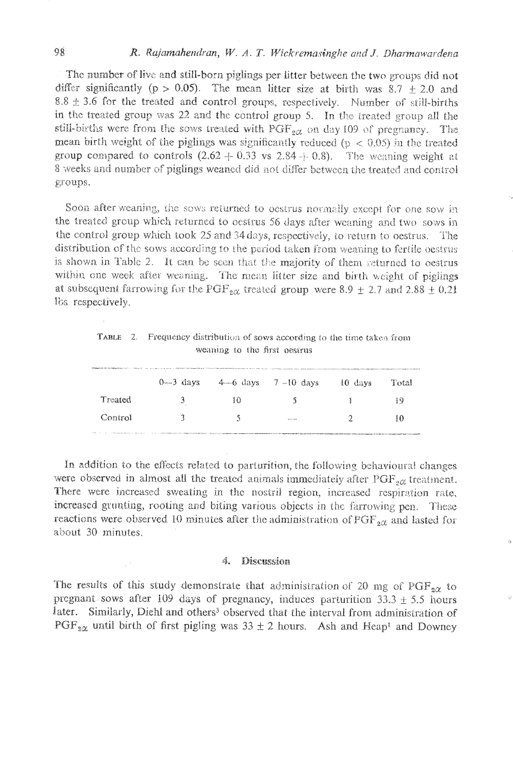The number of live and still-born piglings per litter between the two groups did not differ significantly ( $p > 0.05$ ). The mean litter size at birth was 8.7  $\pm$  2.0 and  $8.8 \pm 3.6$  for the treated and control groups, respectively. Number of still-births in the treated group was 22 and the control group 5. In the treated group all the still-births were from the sows treated with  $PGF_{200}$  on day 109 of pregnancy. The mean birth weight of the piglings was significantly reduced ( $p < 0.05$ ) in the treated group compared to controls  $(2.62 + 0.33 \text{ vs } 2.84 + 0.8)$ . The weaning weight at 8 weeks and number of piglings weaned did not differ between the treated and control groups.

Soon after weaning, the sows returned to oestrus normally except for one sow in the treated group which returned to oestrus 56 days after weaning and two sows in the control group which took 25 and 34 days, respectively, to return to oestrus. The distribution of the sows according to the period taken from weaning to fertile oestrus is shown in Table 2. It can be seen that the majority of them returned to oestrus within one week after weaning. The mean litter size and birth weight of piglings at subsequent farrowing for the PGF<sub>20</sub> treated group were 8.9  $\pm$  2.7 and 2.88  $\pm$  0.21 lbs respectively.

| weaning to the first oestrus |  |                                                                                                                                                                                                                               |                    |                      |       |
|------------------------------|--|-------------------------------------------------------------------------------------------------------------------------------------------------------------------------------------------------------------------------------|--------------------|----------------------|-------|
|                              |  | $0-3$ days $4-6$ days $7-10$ days                                                                                                                                                                                             |                    | $10 \ \mathrm{days}$ | Total |
| Treated                      |  | 10                                                                                                                                                                                                                            | 46                 |                      | 19    |
| Control                      |  |                                                                                                                                                                                                                               | <b>Service and</b> |                      | 10    |
|                              |  | In the contract of the same in the case of the contract of the company of the contract of the contract of the contract of the contract of the contract of the contract of the contract of the contract of the contract of the |                    |                      |       |

|  | <b>TABLE</b> 2. Frequency distribution of sows according to the time taken from |
|--|---------------------------------------------------------------------------------|
|  | weaning to the first oestrus                                                    |

In addition to the effects related to parturition, the following behavioural changes were observed in almost all the treated animals immediately after  $PGF_{p\alpha}$  treatment. There were increased sweating in the nostril region, increased respiration rate, increased grunting, rooting and biting various objects in the farrowing pen. These relations were observed 10 minutes after the administration of  $\mathrm{PGF}_{2\alpha}$  and lasted for about 30 minutes.

## 4. Discussion

The results of this study demonstrate that administration of 20 mg of PGF<sub>20</sub> to pregnant sows after 109 days of pregnancy, induces parturition  $33.3 \pm 5.5$  hours later. Similarly, Diehl and others<sup>3</sup> observed that the interval from administration of  $PGF_{2\alpha}$  until birth of first pigling was 33 ± 2 hours. Ash and Heap<sup>t</sup> and Downey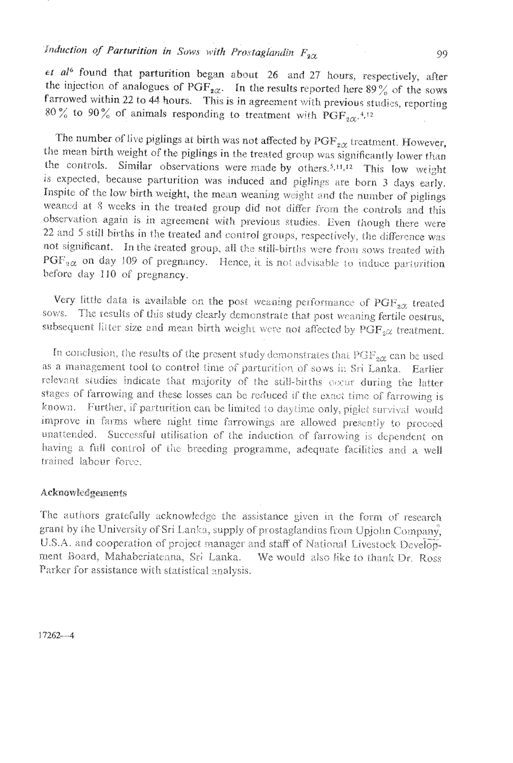$et$  al<sup>6</sup> found that parturition began about 26 and 27 hours, respectively, after the injection of analogues of PGF<sub>2 $\alpha$ </sub>. In the results reported here 89% of the sows farrowed within 22 to 44 hours. This is in agreement with previous studies, reporting 80% to 90% of animals responding to treatment with  $PGF_{2\alpha}$ .<sup>4,12</sup>

The number of live piglings at birth was not affected by  $\mathrm{PGF}_{2\alpha}$  treatment. However, the mean birth weight of the piglings in the treated group was significantly lower than the controls. Similar observations were made by others.<sup>5,11,12</sup> This low weight is expected, because parturition was induced and piglings are born 3 days early. Inspite of the low birth weight, the mean weaning weight and the number of piglings weaned at 8 weeks in the treated group did not differ from the controls and this observation again is in agreement with previous studies. Even though there were 22 and 5 still births in the treated and control groups, respectively, the difference was not significant. In the treated group, all the still-births were from sows treated with  $PGF_{2\alpha}$  on day 109 of pregnancy. Hence, it is not advisable to induce parturition before day 110 of pregnancy.

Very little data is available on the post weaning performance of  $\mathrm{PGF}_{2\alpha}$  treated sows. The results of this study clearly demonstrate that post weaning fertile oestrus, subsequent litter size and mean birth weight were not affected by  $\mathrm{PGF}_{2}$  treatment.

In conclusion, the results of the present study demonstrates that  $\mathrm{PGF}_{2\alpha}$  can be used as a management tool to control time of parturition of sows in Sri Lanka. Earlier relevant studies indicate that majority of the still-bitths occur during the latter stages of farrowing and these losses can be reduced if the exact time of farrowing is known. Further, if parturition can be limited to daytime only, piglet survival would improve in farms where night time farrowings are allowed presently to proceed unattended. Successful utilisation of the induction of farrowing is dependent on having a full control of the breeding programme, adequate facilities and a well trained labour force.

# Acknowledgements

The authors gratefully acknowledge the assistance given in the form of research grant by the University of Sri Lanka, supply of prostaglandins from Upjohn Company, U.S.A. and cooperation of project manager and staff of National Livestock Development Board, Mahaberiateana, Sri Lanka. We would also like to thank Dr. Ross Parker for assistance with statistical analysis.

17262--4